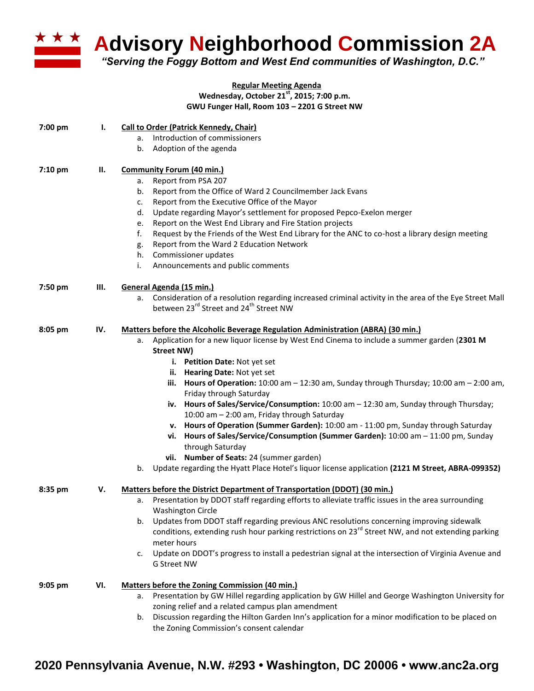

**Advisory Neighborhood Commission 2A** 

*"Serving the Foggy Bottom and West End communities of Washington, D.C."*

## **Regular Meeting Agenda Wednesday, October 21st, 2015; 7:00 p.m. GWU Funger Hall, Room 103 – 2201 G Street NW**

| 7:00 pm   | ı.  | <b>Call to Order (Patrick Kennedy, Chair)</b>                                                                                                                                 |
|-----------|-----|-------------------------------------------------------------------------------------------------------------------------------------------------------------------------------|
|           |     | Introduction of commissioners<br>a.                                                                                                                                           |
|           |     | Adoption of the agenda<br>b.                                                                                                                                                  |
| $7:10$ pm | П.  | <b>Community Forum (40 min.)</b>                                                                                                                                              |
|           |     | Report from PSA 207<br>a.                                                                                                                                                     |
|           |     | Report from the Office of Ward 2 Councilmember Jack Evans<br>b.                                                                                                               |
|           |     | Report from the Executive Office of the Mayor<br>c.                                                                                                                           |
|           |     | Update regarding Mayor's settlement for proposed Pepco-Exelon merger<br>d.                                                                                                    |
|           |     | Report on the West End Library and Fire Station projects<br>e.                                                                                                                |
|           |     | Request by the Friends of the West End Library for the ANC to co-host a library design meeting<br>f.                                                                          |
|           |     | Report from the Ward 2 Education Network<br>g.                                                                                                                                |
|           |     | Commissioner updates<br>h.                                                                                                                                                    |
|           |     | Announcements and public comments<br>i.                                                                                                                                       |
| 7:50 pm   | Ш.  | General Agenda (15 min.)                                                                                                                                                      |
|           |     | a. Consideration of a resolution regarding increased criminal activity in the area of the Eye Street Mall<br>between 23 <sup>rd</sup> Street and 24 <sup>th</sup> Street NW   |
| 8:05 pm   | IV. | <b>Matters before the Alcoholic Beverage Regulation Administration (ABRA) (30 min.)</b>                                                                                       |
|           |     | Application for a new liquor license by West End Cinema to include a summer garden (2301 M<br>а.<br>Street NW)                                                                |
|           |     | i. Petition Date: Not yet set                                                                                                                                                 |
|           |     | ii. Hearing Date: Not yet set                                                                                                                                                 |
|           |     | iii. Hours of Operation: 10:00 am - 12:30 am, Sunday through Thursday; 10:00 am - 2:00 am,                                                                                    |
|           |     | Friday through Saturday                                                                                                                                                       |
|           |     | iv. Hours of Sales/Service/Consumption: 10:00 am - 12:30 am, Sunday through Thursday;                                                                                         |
|           |     | 10:00 am - 2:00 am, Friday through Saturday                                                                                                                                   |
|           |     | v. Hours of Operation (Summer Garden): 10:00 am - 11:00 pm, Sunday through Saturday                                                                                           |
|           |     | vi. Hours of Sales/Service/Consumption (Summer Garden): 10:00 am - 11:00 pm, Sunday                                                                                           |
|           |     | through Saturday                                                                                                                                                              |
|           |     | vii. Number of Seats: 24 (summer garden)<br>Update regarding the Hyatt Place Hotel's liquor license application (2121 M Street, ABRA-099352)<br>b.                            |
|           |     |                                                                                                                                                                               |
| 8:35 pm   | v.  | Matters before the District Department of Transportation (DDOT) (30 min.)<br>Presentation by DDOT staff regarding efforts to alleviate traffic issues in the area surrounding |
|           |     | a.<br><b>Washington Circle</b>                                                                                                                                                |
|           |     | Updates from DDOT staff regarding previous ANC resolutions concerning improving sidewalk<br>b.                                                                                |
|           |     | conditions, extending rush hour parking restrictions on 23 <sup>rd</sup> Street NW, and not extending parking                                                                 |
|           |     | meter hours                                                                                                                                                                   |
|           |     | Update on DDOT's progress to install a pedestrian signal at the intersection of Virginia Avenue and<br>c.                                                                     |
|           |     | G Street NW                                                                                                                                                                   |
| $9:05$ pm | VI. | Matters before the Zoning Commission (40 min.)                                                                                                                                |
|           |     | a. Presentation by GW Hillel regarding application by GW Hillel and George Washington University for                                                                          |
|           |     | zoning relief and a related campus plan amendment                                                                                                                             |
|           |     | Discussion regarding the Hilton Garden Inn's application for a minor modification to be placed on<br>b.                                                                       |

the Zoning Commission's consent calendar